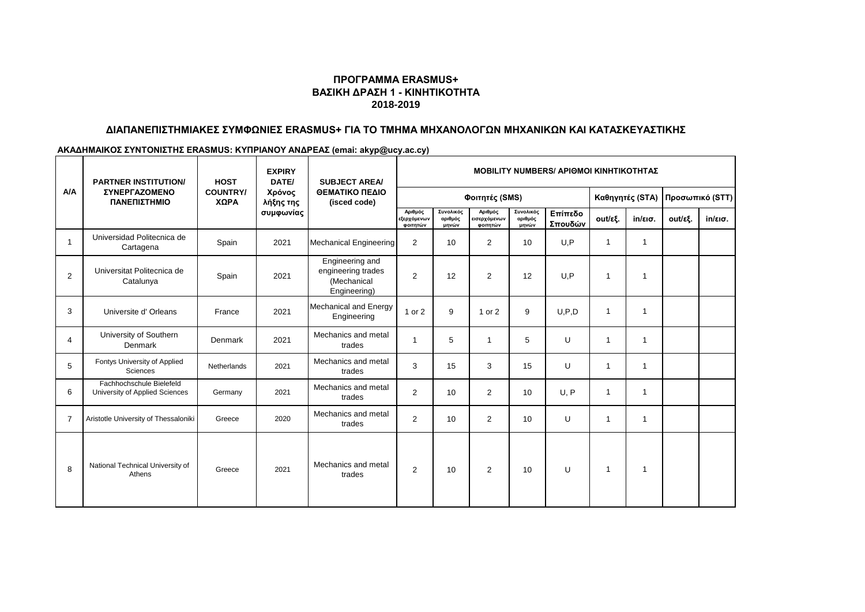# **ΠΡΟΓΡΑΜΜΑ ERASMUS+ ΒΑΣΙΚΗ ΔΡΑΣΗ 1 - ΚΙΝΗΤΙΚΟΤΗΤΑ 2018-2019**

# **ΔΙΑΠΑΝΕΠΙΣΤΗΜΙΑΚΕΣ ΣΥΜΦΩΝΙΕΣ ERASMUS+ ΓΙΑ ΤΟ ΤΜΗΜΑ ΜΗΧΑΝΟΛΟΓΩΝ ΜΗΧΑΝΙΚΩΝ ΚΑΙ ΚΑΤΑΣΚΕΥΑΣΤΙΚΗΣ**

#### **ΑΚΑΔΗΜΑΙΚΟΣ ΣΥΝΤΟΝΙΣΤΗΣ ERASMUS: ΚΥΠΡΙΑΝΟΥ ΑΝΔΡΕΑΣ (emai: akyp@ucy.ac.cy)**

| <b>A/A</b>     | <b>PARTNER INSTITUTION/</b><br>ΣΥΝΕΡΓΑΖΟΜΕΝΟ<br>ΠΑΝΕΠΙΣΤΗΜΙΟ | <b>HOST</b><br><b>COUNTRY/</b><br>ΧΩΡΑ | <b>EXPIRY</b><br>DATE/<br>Χρόνος<br>λήξης της<br>συμφωνίας | <b>SUBJECT AREA/</b><br>ΘΕΜΑΤΙΚΟ ΠΕΔΙΟ<br>(isced code)               | <b>ΜΟΒΙLIΤΥ NUMBERS/ ΑΡΙΘΜΟΙ ΚΙΝΗΤΙΚΟΤΗΤΑΣ</b> |                               |                                     |                               |                    |                 |                   |                 |                   |
|----------------|--------------------------------------------------------------|----------------------------------------|------------------------------------------------------------|----------------------------------------------------------------------|------------------------------------------------|-------------------------------|-------------------------------------|-------------------------------|--------------------|-----------------|-------------------|-----------------|-------------------|
|                |                                                              |                                        |                                                            |                                                                      | Φοιτητές (SMS)                                 |                               |                                     |                               |                    | Καθηγητές (STA) |                   | Προσωπικό (STT) |                   |
|                |                                                              |                                        |                                                            |                                                                      | Αριθμός<br>εξερχόμενων<br>φοιτητών             | Συνολικός<br>αριθμός<br>μηνών | Αριθμός<br>εισερχόμενων<br>φοιτητών | Συνολικός<br>αριθμός<br>μηνών | Επίπεδο<br>Σπουδών | out/εξ.         | $in/\epsilon$ ισ. | out/εξ.         | $in/\epsilon$ ισ. |
| $\overline{1}$ | Universidad Politecnica de<br>Cartagena                      | Spain                                  | 2021                                                       | <b>Mechanical Engineering</b>                                        | 2                                              | 10                            | $\overline{2}$                      | 10                            | U.P                | $\overline{1}$  | $\mathbf{1}$      |                 |                   |
| 2              | Universitat Politecnica de<br>Catalunya                      | Spain                                  | 2021                                                       | Engineering and<br>engineering trades<br>(Mechanical<br>Engineering) | $\overline{2}$                                 | 12                            | 2                                   | 12                            | U.P                | $\overline{1}$  | $\overline{1}$    |                 |                   |
| 3              | Universite d'Orleans                                         | France                                 | 2021                                                       | <b>Mechanical and Energy</b><br>Engineering                          | 1 or 2                                         | 9                             | 1 or 2                              | 9                             | U.P.D              | $\overline{1}$  | $\overline{1}$    |                 |                   |
| 4              | University of Southern<br>Denmark                            | Denmark                                | 2021                                                       | Mechanics and metal<br>trades                                        | $\mathbf 1$                                    | 5                             | $\mathbf{1}$                        | 5                             | U                  | $\overline{1}$  | $\overline{1}$    |                 |                   |
| 5              | Fontys University of Applied<br>Sciences                     | Netherlands                            | 2021                                                       | Mechanics and metal<br>trades                                        | 3                                              | 15                            | 3                                   | 15                            | U                  | $\overline{1}$  | $\overline{1}$    |                 |                   |
| 6              | Fachhochschule Bielefeld<br>University of Applied Sciences   | Germany                                | 2021                                                       | Mechanics and metal<br>trades                                        | $\overline{2}$                                 | 10                            | $\overline{2}$                      | 10                            | U, P               | $\overline{1}$  | $\overline{1}$    |                 |                   |
| $\overline{7}$ | Aristotle University of Thessaloniki                         | Greece                                 | 2020                                                       | Mechanics and metal<br>trades                                        | 2                                              | 10                            | 2                                   | 10                            | U                  | $\overline{1}$  | $\mathbf{1}$      |                 |                   |
| 8              | National Technical University of<br>Athens                   | Greece                                 | 2021                                                       | Mechanics and metal<br>trades                                        | $\overline{2}$                                 | 10                            | $\overline{2}$                      | 10                            | U                  | $\overline{1}$  | -1                |                 |                   |